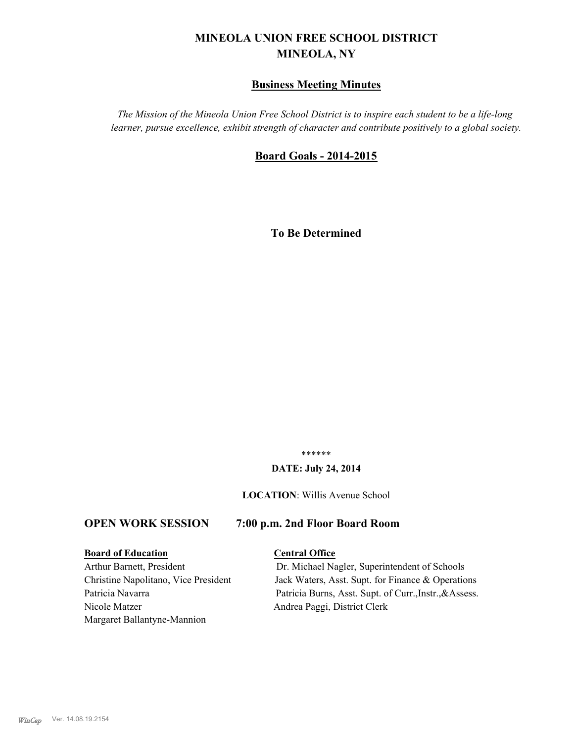# **MINEOLA UNION FREE SCHOOL DISTRICT MINEOLA, NY**

# **Business Meeting Minutes**

*The Mission of the Mineola Union Free School District is to inspire each student to be a life-long learner, pursue excellence, exhibit strength of character and contribute positively to a global society.*

# **Board Goals - 2014-2015**

**To Be Determined**

\*\*\*\*\*\*

## **DATE: July 24, 2014**

**LOCATION**: Willis Avenue School

# **OPEN WORK SESSION 7:00 p.m. 2nd Floor Board Room**

# **Board of Education Central Office**

Nicole Matzer Andrea Paggi, District Clerk Margaret Ballantyne-Mannion

Arthur Barnett, President Dr. Michael Nagler, Superintendent of Schools Christine Napolitano, Vice President Jack Waters, Asst. Supt. for Finance & Operations Patricia Navarra Patricia Burns, Asst. Supt. of Curr., Instr., & Assess.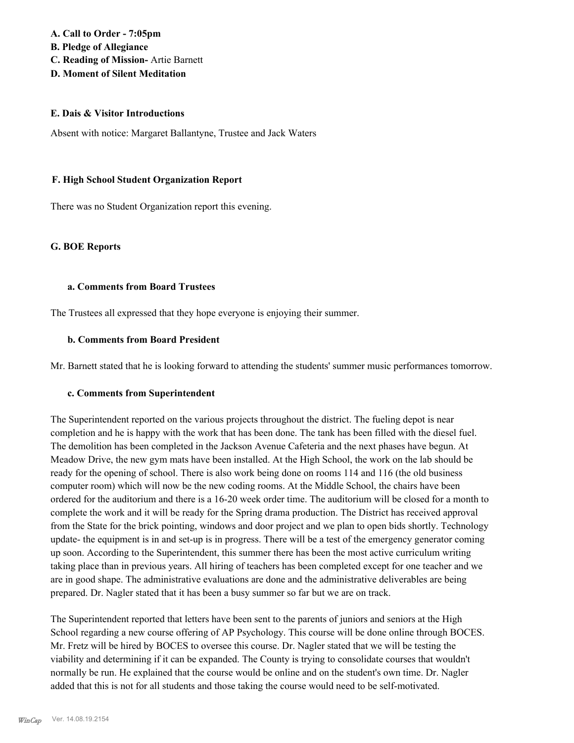# **A. Call to Order - 7:05pm B. Pledge of Allegiance C. Reading of Mission-** Artie Barnett **D. Moment of Silent Meditation**

### **E. Dais & Visitor Introductions**

Absent with notice: Margaret Ballantyne, Trustee and Jack Waters

## **F. High School Student Organization Report**

There was no Student Organization report this evening.

### **G. BOE Reports**

## **a. Comments from Board Trustees**

The Trustees all expressed that they hope everyone is enjoying their summer.

## **b. Comments from Board President**

Mr. Barnett stated that he is looking forward to attending the students' summer music performances tomorrow.

# **c. Comments from Superintendent**

The Superintendent reported on the various projects throughout the district. The fueling depot is near completion and he is happy with the work that has been done. The tank has been filled with the diesel fuel. The demolition has been completed in the Jackson Avenue Cafeteria and the next phases have begun. At Meadow Drive, the new gym mats have been installed. At the High School, the work on the lab should be ready for the opening of school. There is also work being done on rooms 114 and 116 (the old business computer room) which will now be the new coding rooms. At the Middle School, the chairs have been ordered for the auditorium and there is a 16-20 week order time. The auditorium will be closed for a month to complete the work and it will be ready for the Spring drama production. The District has received approval from the State for the brick pointing, windows and door project and we plan to open bids shortly. Technology update- the equipment is in and set-up is in progress. There will be a test of the emergency generator coming up soon. According to the Superintendent, this summer there has been the most active curriculum writing taking place than in previous years. All hiring of teachers has been completed except for one teacher and we are in good shape. The administrative evaluations are done and the administrative deliverables are being prepared. Dr. Nagler stated that it has been a busy summer so far but we are on track.

The Superintendent reported that letters have been sent to the parents of juniors and seniors at the High School regarding a new course offering of AP Psychology. This course will be done online through BOCES. Mr. Fretz will be hired by BOCES to oversee this course. Dr. Nagler stated that we will be testing the viability and determining if it can be expanded. The County is trying to consolidate courses that wouldn't normally be run. He explained that the course would be online and on the student's own time. Dr. Nagler added that this is not for all students and those taking the course would need to be self-motivated.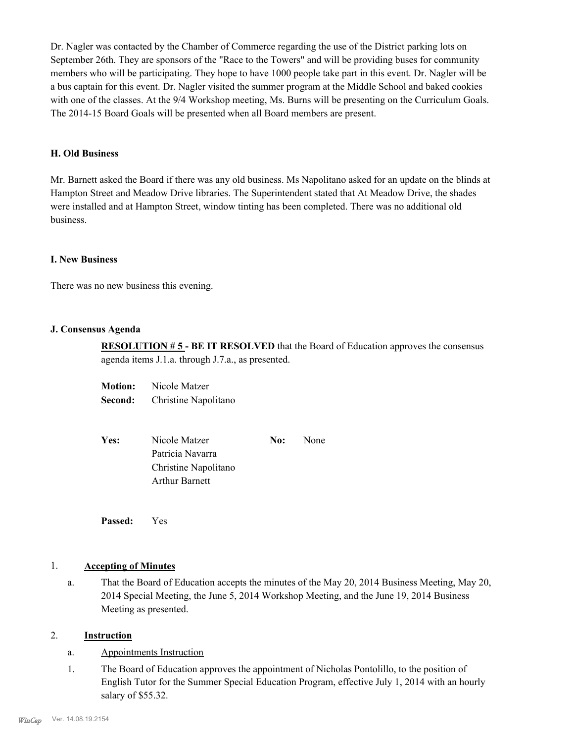Dr. Nagler was contacted by the Chamber of Commerce regarding the use of the District parking lots on September 26th. They are sponsors of the "Race to the Towers" and will be providing buses for community members who will be participating. They hope to have 1000 people take part in this event. Dr. Nagler will be a bus captain for this event. Dr. Nagler visited the summer program at the Middle School and baked cookies with one of the classes. At the 9/4 Workshop meeting, Ms. Burns will be presenting on the Curriculum Goals. The 2014-15 Board Goals will be presented when all Board members are present.

### **H. Old Business**

Mr. Barnett asked the Board if there was any old business. Ms Napolitano asked for an update on the blinds at Hampton Street and Meadow Drive libraries. The Superintendent stated that At Meadow Drive, the shades were installed and at Hampton Street, window tinting has been completed. There was no additional old business.

### **I. New Business**

There was no new business this evening.

### **J. Consensus Agenda**

**RESOLUTION # 5 - BE IT RESOLVED** that the Board of Education approves the consensus agenda items J.1.a. through J.7.a., as presented.

| <b>Motion:</b> | Nicole Matzer        |
|----------------|----------------------|
| Second:        | Christine Napolitano |

| Yes: | Nicole Matzer         | No: | <b>None</b> |
|------|-----------------------|-----|-------------|
|      | Patricia Navarra      |     |             |
|      | Christine Napolitano  |     |             |
|      | <b>Arthur Barnett</b> |     |             |
|      |                       |     |             |

**Passed:** Yes

# 1. **Accepting of Minutes**

That the Board of Education accepts the minutes of the May 20, 2014 Business Meeting, May 20, 2014 Special Meeting, the June 5, 2014 Workshop Meeting, and the June 19, 2014 Business Meeting as presented. a.

# 2. **Instruction**

- a. Appointments Instruction
- The Board of Education approves the appointment of Nicholas Pontolillo, to the position of English Tutor for the Summer Special Education Program, effective July 1, 2014 with an hourly salary of \$55.32. 1.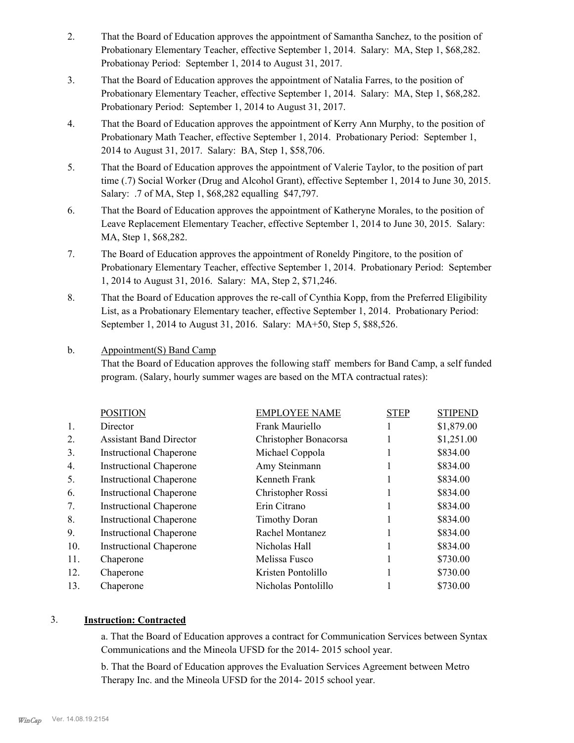- That the Board of Education approves the appointment of Samantha Sanchez, to the position of Probationary Elementary Teacher, effective September 1, 2014. Salary: MA, Step 1, \$68,282. Probationay Period: September 1, 2014 to August 31, 2017. 2.
- That the Board of Education approves the appointment of Natalia Farres, to the position of Probationary Elementary Teacher, effective September 1, 2014. Salary: MA, Step 1, \$68,282. Probationary Period: September 1, 2014 to August 31, 2017. 3.
- That the Board of Education approves the appointment of Kerry Ann Murphy, to the position of Probationary Math Teacher, effective September 1, 2014. Probationary Period: September 1, 2014 to August 31, 2017. Salary: BA, Step 1, \$58,706. 4.
- That the Board of Education approves the appointment of Valerie Taylor, to the position of part time (.7) Social Worker (Drug and Alcohol Grant), effective September 1, 2014 to June 30, 2015. Salary: .7 of MA, Step 1, \$68,282 equalling \$47,797. 5.
- That the Board of Education approves the appointment of Katheryne Morales, to the position of Leave Replacement Elementary Teacher, effective September 1, 2014 to June 30, 2015. Salary: MA, Step 1, \$68,282. 6.
- The Board of Education approves the appointment of Roneldy Pingitore, to the position of Probationary Elementary Teacher, effective September 1, 2014. Probationary Period: September 1, 2014 to August 31, 2016. Salary: MA, Step 2, \$71,246. 7.
- That the Board of Education approves the re-call of Cynthia Kopp, from the Preferred Eligibility List, as a Probationary Elementary teacher, effective September 1, 2014. Probationary Period: September 1, 2014 to August 31, 2016. Salary: MA+50, Step 5, \$88,526. 8.

#### Appointment(S) Band Camp b.

That the Board of Education approves the following staff members for Band Camp, a self funded program. (Salary, hourly summer wages are based on the MTA contractual rates):

|     | <b>POSITION</b>                | <b>EMPLOYEE NAME</b>  | <b>STEP</b> | <b>STIPEND</b> |
|-----|--------------------------------|-----------------------|-------------|----------------|
| 1.  | Director                       | Frank Mauriello       |             | \$1,879.00     |
| 2.  | <b>Assistant Band Director</b> | Christopher Bonacorsa |             | \$1,251.00     |
| 3.  | <b>Instructional Chaperone</b> | Michael Coppola       |             | \$834.00       |
| 4.  | <b>Instructional Chaperone</b> | Amy Steinmann         |             | \$834.00       |
| 5.  | <b>Instructional Chaperone</b> | Kenneth Frank         |             | \$834.00       |
| 6.  | <b>Instructional Chaperone</b> | Christopher Rossi     |             | \$834.00       |
| 7.  | <b>Instructional Chaperone</b> | Erin Citrano          |             | \$834.00       |
| 8.  | <b>Instructional Chaperone</b> | <b>Timothy Doran</b>  |             | \$834.00       |
| 9.  | <b>Instructional Chaperone</b> | Rachel Montanez       |             | \$834.00       |
| 10. | <b>Instructional Chaperone</b> | Nicholas Hall         |             | \$834.00       |
| 11. | Chaperone                      | Melissa Fusco         |             | \$730.00       |
| 12. | Chaperone                      | Kristen Pontolillo    |             | \$730.00       |
| 13. | Chaperone                      | Nicholas Pontolillo   |             | \$730.00       |
|     |                                |                       |             |                |

## 3. **Instruction: Contracted**

a. That the Board of Education approves a contract for Communication Services between Syntax Communications and the Mineola UFSD for the 2014- 2015 school year.

b. That the Board of Education approves the Evaluation Services Agreement between Metro Therapy Inc. and the Mineola UFSD for the 2014- 2015 school year.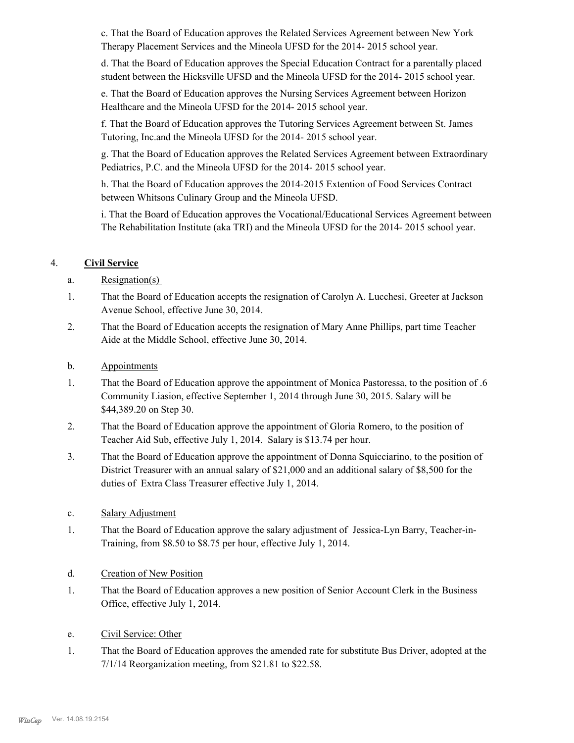c. That the Board of Education approves the Related Services Agreement between New York Therapy Placement Services and the Mineola UFSD for the 2014- 2015 school year.

d. That the Board of Education approves the Special Education Contract for a parentally placed student between the Hicksville UFSD and the Mineola UFSD for the 2014- 2015 school year.

e. That the Board of Education approves the Nursing Services Agreement between Horizon Healthcare and the Mineola UFSD for the 2014- 2015 school year.

f. That the Board of Education approves the Tutoring Services Agreement between St. James Tutoring, Inc.and the Mineola UFSD for the 2014- 2015 school year.

g. That the Board of Education approves the Related Services Agreement between Extraordinary Pediatrics, P.C. and the Mineola UFSD for the 2014- 2015 school year.

h. That the Board of Education approves the 2014-2015 Extention of Food Services Contract between Whitsons Culinary Group and the Mineola UFSD.

i. That the Board of Education approves the Vocational/Educational Services Agreement between The Rehabilitation Institute (aka TRI) and the Mineola UFSD for the 2014- 2015 school year.

# 4. **Civil Service**

- a. Resignation(s)
- That the Board of Education accepts the resignation of Carolyn A. Lucchesi, Greeter at Jackson Avenue School, effective June 30, 2014. 1.
- That the Board of Education accepts the resignation of Mary Anne Phillips, part time Teacher Aide at the Middle School, effective June 30, 2014. 2.
- b. Appointments
- That the Board of Education approve the appointment of Monica Pastoressa, to the position of .6 Community Liasion, effective September 1, 2014 through June 30, 2015. Salary will be \$44,389.20 on Step 30. 1.
- That the Board of Education approve the appointment of Gloria Romero, to the position of Teacher Aid Sub, effective July 1, 2014. Salary is \$13.74 per hour. 2.
- That the Board of Education approve the appointment of Donna Squicciarino, to the position of District Treasurer with an annual salary of \$21,000 and an additional salary of \$8,500 for the duties of Extra Class Treasurer effective July 1, 2014. 3.
- c. Salary Adjustment
- That the Board of Education approve the salary adjustment of Jessica-Lyn Barry, Teacher-in-Training, from \$8.50 to \$8.75 per hour, effective July 1, 2014. 1.
- d. Creation of New Position
- That the Board of Education approves a new position of Senior Account Clerk in the Business Office, effective July 1, 2014. 1.
- e. Civil Service: Other
- That the Board of Education approves the amended rate for substitute Bus Driver, adopted at the 7/1/14 Reorganization meeting, from \$21.81 to \$22.58. 1.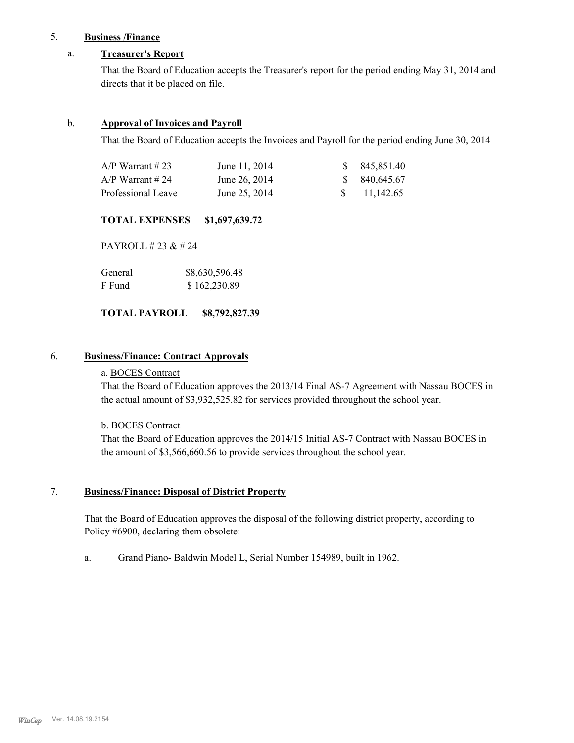# 5. **Business /Finance**

# a. **Treasurer's Report**

That the Board of Education accepts the Treasurer's report for the period ending May 31, 2014 and directs that it be placed on file.

# b. **Approval of Invoices and Payroll**

That the Board of Education accepts the Invoices and Payroll for the period ending June 30, 2014

| $A/P$ Warrant # 23 | June 11, 2014 | \$ 845,851.40          |
|--------------------|---------------|------------------------|
| $A/P$ Warrant # 24 | June 26, 2014 | \$ 840,645,67          |
| Professional Leave | June 25, 2014 | $\frac{\$}{11,142.65}$ |

## **TOTAL EXPENSES \$1,697,639.72**

PAYROLL # 23 & # 24

| General | \$8,630,596.48 |
|---------|----------------|
| F Fund  | \$162,230.89   |

# **TOTAL PAYROLL \$8,792,827.39**

# 6. **Business/Finance: Contract Approvals**

# a. BOCES Contract

That the Board of Education approves the 2013/14 Final AS-7 Agreement with Nassau BOCES in the actual amount of \$3,932,525.82 for services provided throughout the school year.

## b. BOCES Contract

That the Board of Education approves the 2014/15 Initial AS-7 Contract with Nassau BOCES in the amount of \$3,566,660.56 to provide services throughout the school year.

#### **Business/Finance: Disposal of District Property** 7.

That the Board of Education approves the disposal of the following district property, according to Policy #6900, declaring them obsolete:

a. Grand Piano- Baldwin Model L, Serial Number 154989, built in 1962.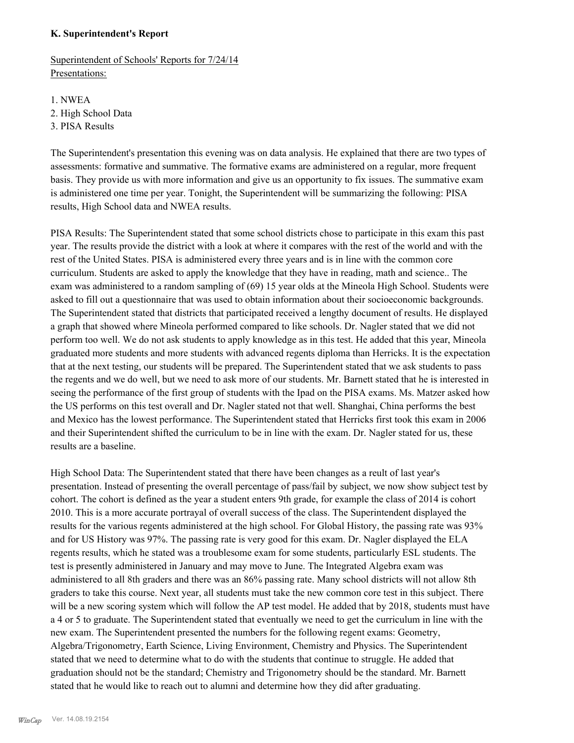# **K. Superintendent's Report**

Superintendent of Schools' Reports for 7/24/14 Presentations:

1. NWEA 2. High School Data 3. PISA Results

The Superintendent's presentation this evening was on data analysis. He explained that there are two types of assessments: formative and summative. The formative exams are administered on a regular, more frequent basis. They provide us with more information and give us an opportunity to fix issues. The summative exam is administered one time per year. Tonight, the Superintendent will be summarizing the following: PISA results, High School data and NWEA results.

PISA Results: The Superintendent stated that some school districts chose to participate in this exam this past year. The results provide the district with a look at where it compares with the rest of the world and with the rest of the United States. PISA is administered every three years and is in line with the common core curriculum. Students are asked to apply the knowledge that they have in reading, math and science.. The exam was administered to a random sampling of (69) 15 year olds at the Mineola High School. Students were asked to fill out a questionnaire that was used to obtain information about their socioeconomic backgrounds. The Superintendent stated that districts that participated received a lengthy document of results. He displayed a graph that showed where Mineola performed compared to like schools. Dr. Nagler stated that we did not perform too well. We do not ask students to apply knowledge as in this test. He added that this year, Mineola graduated more students and more students with advanced regents diploma than Herricks. It is the expectation that at the next testing, our students will be prepared. The Superintendent stated that we ask students to pass the regents and we do well, but we need to ask more of our students. Mr. Barnett stated that he is interested in seeing the performance of the first group of students with the Ipad on the PISA exams. Ms. Matzer asked how the US performs on this test overall and Dr. Nagler stated not that well. Shanghai, China performs the best and Mexico has the lowest performance. The Superintendent stated that Herricks first took this exam in 2006 and their Superintendent shifted the curriculum to be in line with the exam. Dr. Nagler stated for us, these results are a baseline.

High School Data: The Superintendent stated that there have been changes as a reult of last year's presentation. Instead of presenting the overall percentage of pass/fail by subject, we now show subject test by cohort. The cohort is defined as the year a student enters 9th grade, for example the class of 2014 is cohort 2010. This is a more accurate portrayal of overall success of the class. The Superintendent displayed the results for the various regents administered at the high school. For Global History, the passing rate was 93% and for US History was 97%. The passing rate is very good for this exam. Dr. Nagler displayed the ELA regents results, which he stated was a troublesome exam for some students, particularly ESL students. The test is presently administered in January and may move to June. The Integrated Algebra exam was administered to all 8th graders and there was an 86% passing rate. Many school districts will not allow 8th graders to take this course. Next year, all students must take the new common core test in this subject. There will be a new scoring system which will follow the AP test model. He added that by 2018, students must have a 4 or 5 to graduate. The Superintendent stated that eventually we need to get the curriculum in line with the new exam. The Superintendent presented the numbers for the following regent exams: Geometry, Algebra/Trigonometry, Earth Science, Living Environment, Chemistry and Physics. The Superintendent stated that we need to determine what to do with the students that continue to struggle. He added that graduation should not be the standard; Chemistry and Trigonometry should be the standard. Mr. Barnett stated that he would like to reach out to alumni and determine how they did after graduating.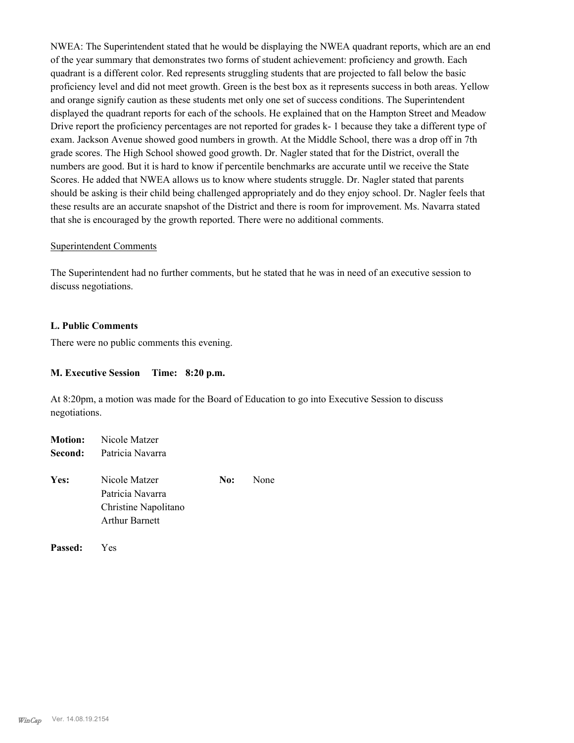NWEA: The Superintendent stated that he would be displaying the NWEA quadrant reports, which are an end of the year summary that demonstrates two forms of student achievement: proficiency and growth. Each quadrant is a different color. Red represents struggling students that are projected to fall below the basic proficiency level and did not meet growth. Green is the best box as it represents success in both areas. Yellow and orange signify caution as these students met only one set of success conditions. The Superintendent displayed the quadrant reports for each of the schools. He explained that on the Hampton Street and Meadow Drive report the proficiency percentages are not reported for grades k- 1 because they take a different type of exam. Jackson Avenue showed good numbers in growth. At the Middle School, there was a drop off in 7th grade scores. The High School showed good growth. Dr. Nagler stated that for the District, overall the numbers are good. But it is hard to know if percentile benchmarks are accurate until we receive the State Scores. He added that NWEA allows us to know where students struggle. Dr. Nagler stated that parents should be asking is their child being challenged appropriately and do they enjoy school. Dr. Nagler feels that these results are an accurate snapshot of the District and there is room for improvement. Ms. Navarra stated that she is encouraged by the growth reported. There were no additional comments.

### Superintendent Comments

The Superintendent had no further comments, but he stated that he was in need of an executive session to discuss negotiations.

### **L. Public Comments**

There were no public comments this evening.

### **M. Executive Session Time: 8:20 p.m.**

At 8:20pm, a motion was made for the Board of Education to go into Executive Session to discuss negotiations.

|      | <b>Motion:</b> Nicole Matzer    |     |      |
|------|---------------------------------|-----|------|
|      | <b>Second:</b> Patricia Navarra |     |      |
| Yes: | Nicole Matzer                   | No: | None |
|      | Patricia Navarra                |     |      |
|      | Christine Napolitano            |     |      |
|      | <b>Arthur Barnett</b>           |     |      |
|      |                                 |     |      |

**Passed:** Yes